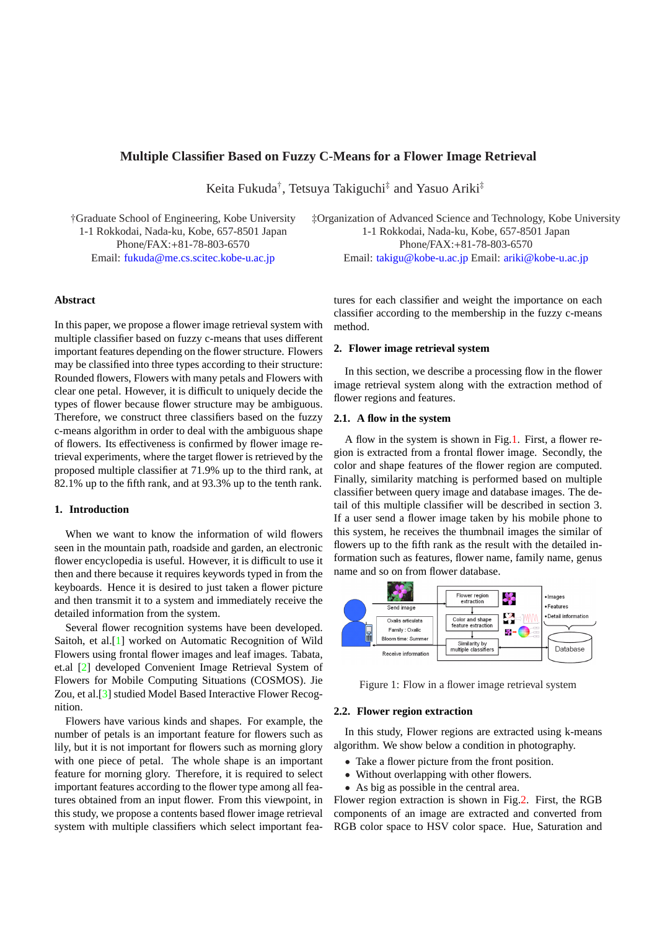# **Multiple Classifier Based on Fuzzy C-Means for a Flower Image Retrieval**

Keita Fukuda† , Tetsuya Takiguchi‡ and Yasuo Ariki‡

†Graduate School of Engineering, Kobe University 1-1 Rokkodai, Nada-ku, Kobe, 657-8501 Japan

Phone/FAX:+81-78-803-6570 Email: fukuda@me.cs.scitec.kobe-u.ac.jp

‡Organization of Advanced Science and Technology, Kobe University 1-1 Rokkodai, Nada-ku, Kobe, 657-8501 Japan Phone/FAX:+81-78-803-6570 Email: takigu@kobe-u.ac.jp Email: ariki@kobe-u.ac.jp

## **Abstract**

In this paper, we propose a flower image retrieval system with multiple classifier based on fuzzy c-means that uses different important features depending on the flower structure. Flowers may be classified into three types according to their structure: Rounded flowers, Flowers with many petals and Flowers with clear one petal. However, it is difficult to uniquely decide the types of flower because flower structure may be ambiguous. Therefore, we construct three classifiers based on the fuzzy c-means algorithm in order to deal with the ambiguous shape of flowers. Its effectiveness is confirmed by flower image retrieval experiments, where the target flower is retrieved by the proposed multiple classifier at 71.9% up to the third rank, at 82.1% up to the fifth rank, and at 93.3% up to the tenth rank.

## **1. Introduction**

When we want to know the information of wild flowers seen in the mountain path, roadside and garden, an electronic flower encyclopedia is useful. However, it is difficult to use it then and there because it requires keywords typed in from the keyboards. Hence it is desired to just taken a flower picture and then transmit it to a system and immediately receive the detailed information from the system.

Several flower recognition systems have been developed. Saitoh, et al.[1] worked on Automatic Recognition of Wild Flowers using frontal flower images and leaf images. Tabata, et.al [2] developed Convenient Image Retrieval System of Flowers for Mobile Computing Situations (COSMOS). Jie Zou, et al.[3] [stu](#page-3-0)died Model Based Interactive Flower Recognition.

Flo[we](#page-3-0)rs have various kinds and shapes. For example, the number of petals is an important feature for flowers such as lily, but it [is](#page-3-0) not important for flowers such as morning glory with one piece of petal. The whole shape is an important feature for morning glory. Therefore, it is required to select important features according to the flower type among all features obtained from an input flower. From this viewpoint, in this study, we propose a contents based flower image retrieval system with multiple classifiers which select important features for each classifier and weight the importance on each classifier [according to the mem](mailto:takigu@kobe-u.ac.jp)bershi[p in the fuzzy c-mea](mailto:ariki@kobe-u.ac.jp)ns method.

### **2. Flower image retrieval system**

In this section, we describe a processing flow in the flower image retrieval system along with the extraction method of flower regions and features.

## **2.1. A flow in the system**

A flow in the system is shown in Fig.1. First, a flower region is extracted from a frontal flower image. Secondly, the color and shape features of the flower region are computed. Finally, similarity matching is performed based on multiple classifier between query image and database images. The detail of this multiple classifier will be described in section 3. If a user send a flower image taken by his mobile phone to this system, he receives the thumbnail images the similar of flowers up to the fifth rank as the result with the detailed information such as features, flower name, family name, genus name and so on from flower database.



Figure 1: Flow in a flower image retrieval system

### **2.2. Flower region extraction**

In this study, Flower regions are extracted using k-means algorithm. We show below a condition in photography.

- Take a flower picture from the front position.
- Without overlapping with other flowers.
- As big as possible in the central area.

Flower region extraction is shown in Fig.2. First, the RGB components of an image are extracted and converted from RGB color space to HSV color space. Hue, Saturation and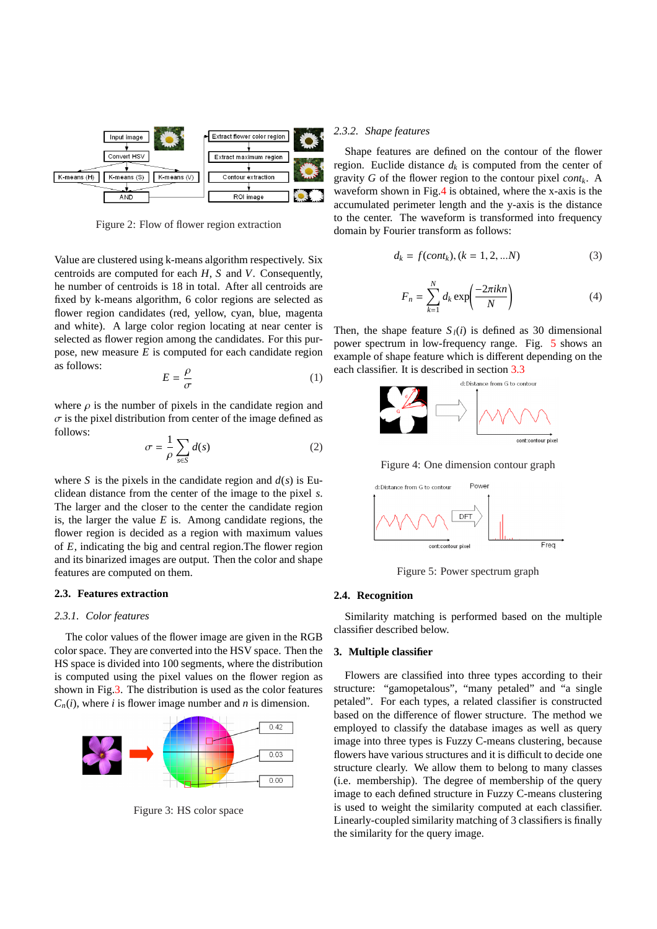

Figure 2: Flow of flower region extraction

Value are clustered using k-means algorithm respectively. Six centroids are computed for each *H*, *S* and *V*. Consequently, he number of centroids is 18 in total. After all centroids are fixed by k-means algorithm, 6 color regions are selected as flower region candidates (red, yellow, cyan, blue, magenta and white). A large color region locating at near center is selected as flower region among the candidates. For this purpose, new measure *E* is computed for each candidate region as follows: ρ

$$
E = \frac{\rho}{\sigma} \tag{1}
$$

where  $\rho$  is the number of pixels in the candidate region and  $\sigma$  is the pixel distribution from center of the image defined as follows:

$$
\sigma = \frac{1}{\rho} \sum_{s \in S} d(s) \tag{2}
$$

where *S* is the pixels in the candidate region and  $d(s)$  is Euclidean distance from the center of the image to the pixel *s*. The larger and the closer to the center the candidate region is, the larger the value *E* is. Among candidate regions, the flower region is decided as a region with maximum values of *E*, indicating the big and central region.The flower region and its binarized images are output. Then the color and shape features are computed on them.

## **2.3. Features extraction**

#### *2.3.1. Color features*

The color values of the flower image are given in the RGB color space. They are converted into the HSV space. Then the HS space is divided into 100 segments, where the distribution is computed using the pixel values on the flower region as shown in Fig.3. The distribution is used as the color features  $C_n(i)$ , where *i* is flower image number and *n* is dimension.



Figure 3: HS color space

#### *2.3.2. Shape features*

Shape features are defined on the contour of the flower region. Euclide distance  $d_k$  is computed from the center of gravity *G* of the flower region to the contour pixel *contk*. A waveform shown in Fig.4 is obtained, where the x-axis is the accumulated perimeter length and the y-axis is the distance to the center. The waveform is transformed into frequency domain by Fourier transform as follows:

$$
d_k = f(cont_k), (k = 1, 2, ...N)
$$
 (3)

$$
F_n = \sum_{k=1}^{N} d_k \exp\left(\frac{-2\pi i k n}{N}\right)
$$
 (4)

Then, the shape feature  $S_l(i)$  is defined as 30 dimensional power spectrum in low-frequency range. Fig. 5 shows an example of shape feature which is different depending on the each classifier. It is described in section 3.3



Figure 4: One dimension contour graph



Figure 5: Power spectrum graph

### **2.4. Recognition**

Similarity matching is performed based on the multiple classifier described below.

### **3. Multiple classifier**

Flowers are classified into three types according to their structure: "gamopetalous", "many petaled" and "a single petaled". For each types, a related classifier is constructed based on the difference of flower structure. The method we employed to classify the database images as well as query image into three types is Fuzzy C-means clustering, because flowers have various structures and it is difficult to decide one structure clearly. We allow them to belong to many classes (i.e. membership). The degree of membership of the query image to each defined structure in Fuzzy C-means clustering is used to weight the similarity computed at each classifier. Linearly-coupled similarity matching of 3 classifiers is finally the similarity for the query image.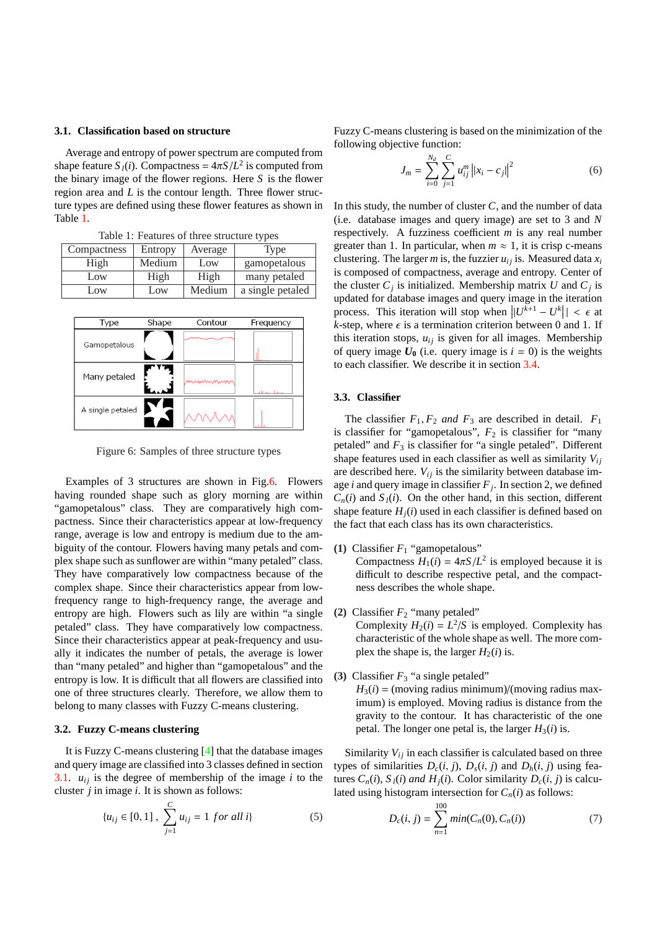### **3.1. Classification based on structure**

Average and entropy of power spectrum are computed from shape feature  $S_l(i)$ . Compactness =  $4\pi S/L^2$  is computed from the binary image of the flower regions. Here *S* is the flower region area and *L* is the contour length. Three flower structure types are defined using these flower features as shown in Table 1.

| Compactness | Entropy | Average | Type             |  |  |
|-------------|---------|---------|------------------|--|--|
| High        | Medium  | Low     | gamopetalous     |  |  |
| Low         | High    | High    | many petaled     |  |  |
| Low         | Low     | Medium  | a single petaled |  |  |



Figure 6: Samples of three structure types

Examples of 3 structures are shown in Fig.6. Flowers having rounded shape such as glory morning are within "gamopetalous" class. They are comparatively high compactness. Since their characteristics appear at low-frequency range, average is low and entropy is medium due to the ambiguity of the contour. Flowers having many petals and complex shape such as sunflower are within "many petaled" class. They have comparatively low compactness because of the complex shape. Since their characteristics appear from lowfrequency range to high-frequency range, the average and entropy are high. Flowers such as lily are within "a single petaled" class. They have comparatively low compactness. Since their characteristics appear at peak-frequency and usually it indicates the number of petals, the average is lower than "many petaled" and higher than "gamopetalous" and the entropy is low. It is difficult that all flowers are classified into one of three structures clearly. Therefore, we allow them to belong to many classes with Fuzzy C-means clustering.

## **3.2. Fuzzy C-means clustering**

It is Fuzzy C-means clustering [4] that the database images and query image are classified into 3 classes defined in section 3.1.  $u_{ij}$  is the degree of membership of the image  $i$  to the cluster *j* in image *i*. It is shown as follows:

$$
\{u_{ij} \in [0,1], \sum_{j=1}^{C} u_{ij} = 1 \text{ for all } i\}
$$
 (5)

Fuzzy C-means clustering is based on the minimization of the following objective function:

$$
J_m = \sum_{i=0}^{N_d} \sum_{j=1}^{C} u_{ij}^m ||x_i - c_j||^2
$$
 (6)

In this study, the number of cluster *C*, and the number of data (i.e. database images and query image) are set to 3 and *N* respectively. A fuzziness coefficient *m* is any real number greater than 1. In particular, when  $m \approx 1$ , it is crisp c-means clustering. The larger *m* is, the fuzzier  $u_{ij}$  is. Measured data  $x_i$ is composed of compactness, average and entropy. Center of the cluster  $C_j$  is initialized. Membership matrix U and  $C_j$  is updated for database images and query image in the iteration process. This iteration will stop when  $||U^{k+1} - U^k|| < \epsilon$  at *k*-step, where  $\epsilon$  is a termination criterion between 0 and 1. If this iteration stops,  $u_{ij}$  is given for all images. Membership of query image  $U_0$  (i.e. query image is  $i = 0$ ) is the weights to each classifier. We describe it in section 3.4.

### **3.3. Classifier**

The classifier  $F_1, F_2$  *and*  $F_3$  are descr[ibed](#page-3-0) in detail.  $F_1$ is classifier for "gamopetalous",  $F_2$  is classifier for "many petaled" and  $F_3$  is classifier for "a single petaled". Different shape features used in each classifier as well as similarity  $V_{ij}$ are described here.  $V_{ij}$  is the similarity between database image *i* and query image in classifier *F<sup>j</sup>* . In section 2, we defined  $C_n(i)$  and  $S_i(i)$ . On the other hand, in this section, different shape feature  $H_i(i)$  used in each classifier is defined based on the fact that each class has its own characteristics.

- **(1)** Classifier  $F_1$  "gamopetalous" Compactness  $H_1(i) = 4\pi S/L^2$  is employed because it is difficult to describe respective petal, and the compactness describes the whole shape.
- (2) Classifier  $F_2$  "many petaled"

Complexity  $H_2(i) = L^2/S$  is employed. Complexity has characteristic of the whole shape as well. The more complex the shape is, the larger  $H_2(i)$  is.

**(3)** Classifier  $F_3$  "a single petaled"

 $H_3(i) = (moving radius minimum)/(moving radius max$ imum) is employed. Moving radius is distance from the gravity to the contour. It has characteristic of the one petal. The longer one petal is, the larger  $H_3(i)$  is.

Similarity  $V_{ij}$  in each classifier is calculated based on three types of similarities  $D_c(i, j)$ ,  $D_s(i, j)$  and  $D_h(i, j)$  using features  $C_n(i)$ ,  $S_l(i)$  *and*  $H_i(i)$ . Color similarity  $D_c(i, j)$  is calculated using histogram intersection for  $C_n(i)$  as follows:

$$
D_c(i, j) = \sum_{n=1}^{100} min(C_n(0), C_n(i))
$$
 (7)